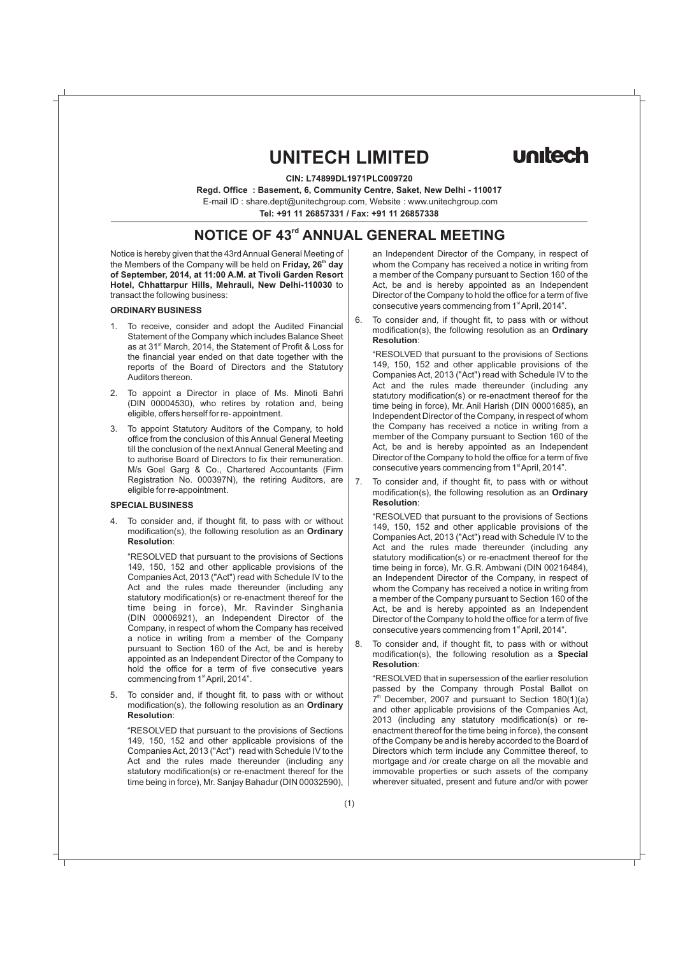# **UNITECH LIMITED**

**CIN: L74899DL1971PLC009720** 

**Regd. Office : Basement, 6, Community Centre, Saket, New Delhi - 110017**

E-mail ID : share.dept@unitechgroup.com, Website : www.unitechgroup.com

**Tel: +91 11 26857331 / Fax: +91 11 26857338**

# *NOTICE OF 43<sup>rd</sup>* **ANNUAL GENERAL MEETING**

Notice is hereby given that the 43rd Annual General Meeting of the Members of the Company will be held on **Friday, 26<sup>th</sup> day of September, 2014, at 11:00 A.M. at Tivoli Garden Resort Hotel, Chhattarpur Hills, Mehrauli, New Delhi-110030** to transact the following business:

### **ORDINARY BUSINESS**

- 1. To receive, consider and adopt the Audited Financial Statement of the Company which includes Balance Sheet as at 31<sup>st</sup> March, 2014, the Statement of Profit & Loss for the financial year ended on that date together with the reports of the Board of Directors and the Statutory Auditors thereon.
- 2. To appoint a Director in place of Ms. Minoti Bahri (DIN 00004530), who retires by rotation and, being eligible, offers herself for re- appointment.
- 3. To appoint Statutory Auditors of the Company, to hold office from the conclusion of this Annual General Meeting till the conclusion of the next Annual General Meeting and to authorise Board of Directors to fix their remuneration. M/s Goel Garg & Co., Chartered Accountants (Firm Registration No. 000397N), the retiring Auditors, are eligible for re-appointment.

### **SPECIAL BUSINESS**

4. To consider and, if thought fit, to pass with or without modification(s), the following resolution as an **Ordinary Resolution**:

"RESOLVED that pursuant to the provisions of Sections 149, 150, 152 and other applicable provisions of the Companies Act, 2013 ("Act") read with Schedule IV to the Act and the rules made thereunder (including any statutory modification(s) or re-enactment thereof for the time being in force), Mr. Ravinder Singhania (DIN 00006921), an Independent Director of the Company, in respect of whom the Company has received a notice in writing from a member of the Company pursuant to Section 160 of the Act, be and is hereby appointed as an Independent Director of the Company to hold the office for a term of five consecutive years commencing from 1<sup>st</sup> April, 2014".

5. To consider and, if thought fit, to pass with or without modification(s), the following resolution as an **Ordinary Resolution**:

"RESOLVED that pursuant to the provisions of Sections 149, 150, 152 and other applicable provisions of the Companies Act, 2013 ("Act") read with Schedule IV to the Act and the rules made thereunder (including any statutory modification(s) or re-enactment thereof for the time being in force), Mr. Sanjay Bahadur (DIN 00032590), an Independent Director of the Company, in respect of whom the Company has received a notice in writing from a member of the Company pursuant to Section 160 of the Act, be and is hereby appointed as an Independent Director of the Company to hold the office for a term of five consecutive years commencing from 1<sup>st</sup> April, 2014".

6. To consider and, if thought fit, to pass with or without modification(s), the following resolution as an **Ordinary Resolution**:

"RESOLVED that pursuant to the provisions of Sections 149, 150, 152 and other applicable provisions of the Companies Act, 2013 ("Act") read with Schedule IV to the Act and the rules made thereunder (including any statutory modification(s) or re-enactment thereof for the time being in force), Mr. Anil Harish (DIN 00001685), an Independent Director of the Company, in respect of whom the Company has received a notice in writing from a member of the Company pursuant to Section 160 of the Act, be and is hereby appointed as an Independent Director of the Company to hold the office for a term of five consecutive years commencing from 1<sup>st</sup> April, 2014".

7. To consider and, if thought fit, to pass with or without modification(s), the following resolution as an **Ordinary Resolution**:

"RESOLVED that pursuant to the provisions of Sections 149, 150, 152 and other applicable provisions of the Companies Act, 2013 ("Act") read with Schedule IV to the Act and the rules made thereunder (including any statutory modification(s) or re-enactment thereof for the time being in force), Mr. G.R. Ambwani (DIN 00216484), an Independent Director of the Company, in respect of whom the Company has received a notice in writing from a member of the Company pursuant to Section 160 of the Act, be and is hereby appointed as an Independent Director of the Company to hold the office for a term of five consecutive years commencing from 1<sup>st</sup> April, 2014".

8. To consider and, if thought fit, to pass with or without modification(s), the following resolution as a **Special Resolution**:

"RESOLVED that in supersession of the earlier resolution passed by the Company through Postal Ballot on  $7<sup>th</sup>$  December, 2007 and pursuant to Section 180(1)(a) and other applicable provisions of the Companies Act, 2013 (including any statutory modification(s) or reenactment thereof for the time being in force), the consent of the Company be and is hereby accorded to the Board of Directors which term include any Committee thereof, to mortgage and /or create charge on all the movable and immovable properties or such assets of the company wherever situated, present and future and/or with power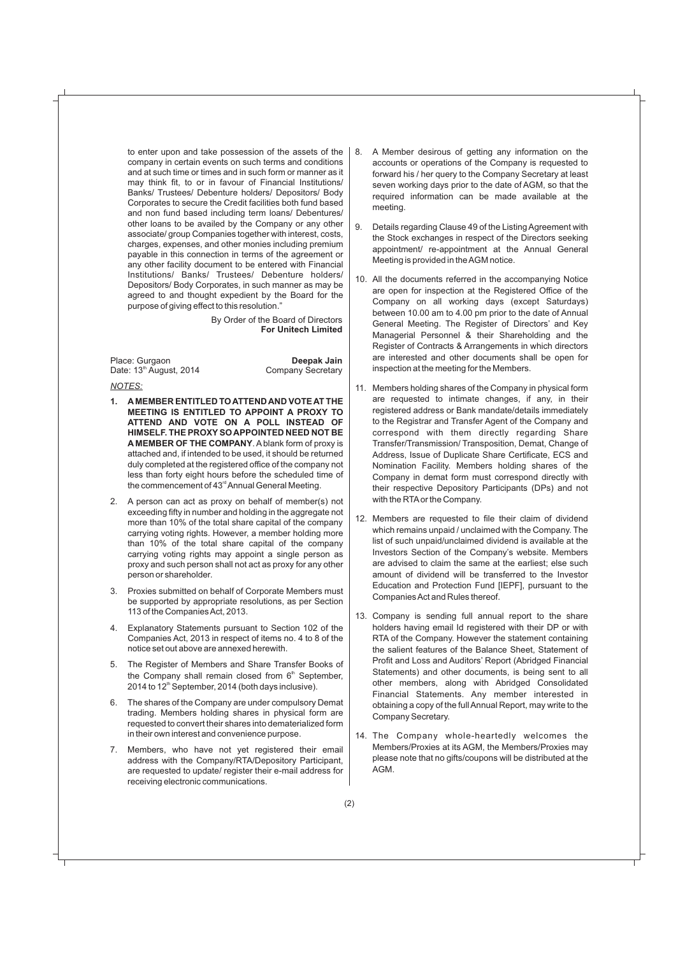to enter upon and take possession of the assets of the company in certain events on such terms and conditions and at such time or times and in such form or manner as it may think fit, to or in favour of Financial Institutions/ Banks/ Trustees/ Debenture holders/ Depositors/ Body Corporates to secure the Credit facilities both fund based and non fund based including term loans/ Debentures/ other loans to be availed by the Company or any other associate/ group Companies together with interest, costs, charges, expenses, and other monies including premium payable in this connection in terms of the agreement or any other facility document to be entered with Financial Institutions/ Banks/ Trustees/ Debenture holders/ Depositors/ Body Corporates, in such manner as may be agreed to and thought expedient by the Board for the purpose of giving effect to this resolution."

> By Order of the Board of Directors **For Unitech Limited**

Place: Gurgaon **Deepak Jain**<br>
Date: 13<sup>th</sup> August, 2014 **Company Secretary** Date: 13<sup>th</sup> August, 2014

### *NOTES:*

- **1. A MEMBER ENTITLED TO ATTEND AND VOTE AT THE MEETING IS ENTITLED TO APPOINT A PROXY TO ATTEND AND VOTE ON A POLL INSTEAD OF HIMSELF. THE PROXYSO APPOINTED NEED NOT BE A MEMBER OF THE COMPANY**. Ablank form of proxy is attached and, if intended to be used, it should be returned duly completed at the registered office of the company not less than forty eight hours before the scheduled time of the commencement of 43<sup>rd</sup> Annual General Meeting.
- 2. A person can act as proxy on behalf of member(s) not exceeding fifty in number and holding in the aggregate not more than 10% of the total share capital of the company carrying voting rights. However, a member holding more than 10% of the total share capital of the company carrying voting rights may appoint a single person as proxy and such person shall not act as proxy for any other person or shareholder.
- 3. Proxies submitted on behalf of Corporate Members must be supported by appropriate resolutions, as per Section 113 of the Companies Act, 2013.
- 4. Explanatory Statements pursuant to Section 102 of the Companies Act, 2013 in respect of items no. 4 to 8 of the notice set out above are annexed herewith.
- 5. The Register of Members and Share Transfer Books of the Company shall remain closed from  $6<sup>th</sup>$  September,  $2014$  to  $12<sup>th</sup>$  September, 2014 (both days inclusive).
- 6. The shares of the Company are under compulsory Demat trading. Members holding shares in physical form are requested to convert their shares into dematerialized form in their own interest and convenience purpose.
- 7. Members, who have not yet registered their email address with the Company/RTA/Depository Participant, are requested to update/ register their e-mail address for receiving electronic communications.
- 8. A Member desirous of getting any information on the accounts or operations of the Company is requested to forward his / her query to the Company Secretary at least seven working days prior to the date of AGM, so that the required information can be made available at the meeting.
- 9. Details regarding Clause 49 of the Listing Agreement with the Stock exchanges in respect of the Directors seeking appointment/ re-appointment at the Annual General Meeting is provided in the AGM notice.
- 10. All the documents referred in the accompanying Notice are open for inspection at the Registered Office of the Company on all working days (except Saturdays) between 10.00 am to 4.00 pm prior to the date of Annual General Meeting. The Register of Directors' and Key Managerial Personnel & their Shareholding and the Register of Contracts & Arrangements in which directors are interested and other documents shall be open for inspection at the meeting for the Members.
- 11. Members holding shares of the Company in physical form are requested to intimate changes, if any, in their registered address or Bank mandate/details immediately to the Registrar and Transfer Agent of the Company and correspond with them directly regarding Share Transfer/Transmission/ Transposition, Demat, Change of Address, Issue of Duplicate Share Certificate, ECS and Nomination Facility. Members holding shares of the Company in demat form must correspond directly with their respective Depository Participants (DPs) and not with the RTAor the Company.
- 12. Members are requested to file their claim of dividend which remains unpaid / unclaimed with the Company. The list of such unpaid/unclaimed dividend is available at the Investors Section of the Company's website. Members are advised to claim the same at the earliest; else such amount of dividend will be transferred to the Investor Education and Protection Fund [IEPF], pursuant to the Companies Act and Rules thereof.
- 13. Company is sending full annual report to the share holders having email Id registered with their DP or with RTA of the Company. However the statement containing the salient features of the Balance Sheet, Statement of Profit and Loss and Auditors' Report (Abridged Financial Statements) and other documents, is being sent to all other members, along with Abridged Consolidated Financial Statements. Any member interested in obtaining a copy of the full Annual Report, may write to the Company Secretary.
- 14. The Company whole-heartedly welcomes the Members/Proxies at its AGM, the Members/Proxies may please note that no gifts/coupons will be distributed at the AGM.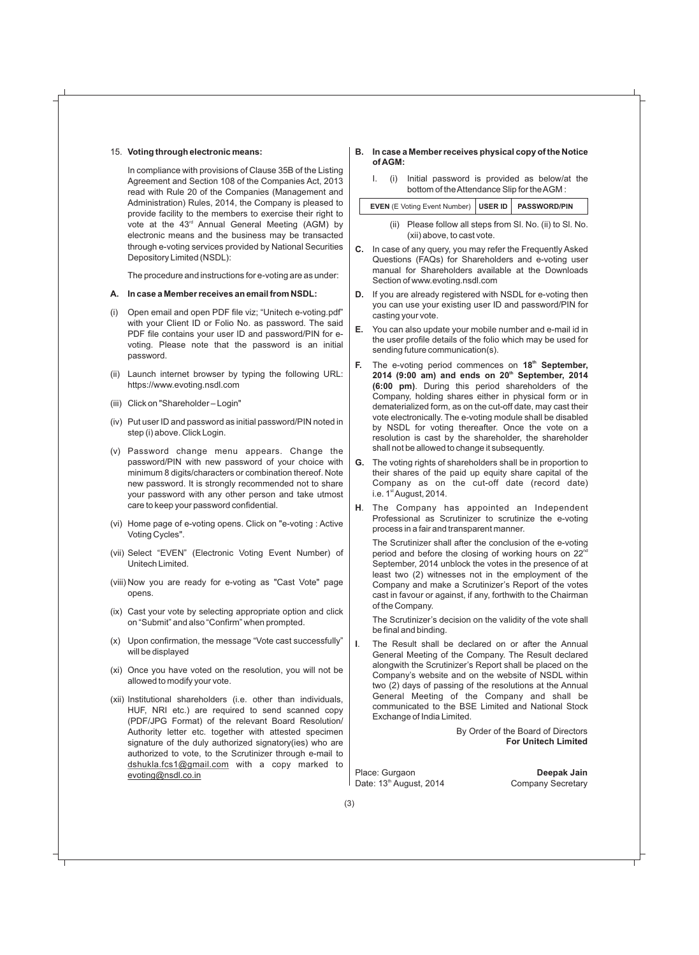#### 15. **Voting through electronic means:**

In compliance with provisions of Clause 35B of the Listing Agreement and Section 108 of the Companies Act, 2013 read with Rule 20 of the Companies (Management and Administration) Rules, 2014, the Company is pleased to provide facility to the members to exercise their right to vote at the  $43<sup>rd</sup>$  Annual General Meeting (AGM) by electronic means and the business may be transacted through e-voting services provided by National Securities Depository Limited (NSDL):

The procedure and instructions for e-voting are as under:

### **A. In case a Member receives an email from NSDL:**

- (i) Open email and open PDF file viz; "Unitech e-voting.pdf" with your Client ID or Folio No. as password. The said PDF file contains your user ID and password/PIN for evoting. Please note that the password is an initial password.
- (ii) Launch internet browser by typing the following URL: https://www.evoting.nsdl.com
- (iii) Click on "Shareholder Login"
- (iv) Put user ID and password as initial password/PIN noted in step (i) above. Click Login.
- (v) Password change menu appears. Change the password/PIN with new password of your choice with minimum 8 digits/characters or combination thereof. Note new password. It is strongly recommended not to share your password with any other person and take utmost care to keep your password confidential.
- (vi) Home page of e-voting opens. Click on "e-voting : Active Voting Cycles".
- (vii) Select "EVEN" (Electronic Voting Event Number) of Unitech Limited.
- (viii) Now you are ready for e-voting as "Cast Vote" page opens.
- (ix) Cast your vote by selecting appropriate option and click on "Submit" and also "Confirm" when prompted.
- (x) Upon confirmation, the message "Vote cast successfully" will be displayed
- (xi) Once you have voted on the resolution, you will not be allowed to modify your vote.
- (xii) Institutional shareholders (i.e. other than individuals, HUF, NRI etc.) are required to send scanned copy (PDF/JPG Format) of the relevant Board Resolution/ Authority letter etc. together with attested specimen signature of the duly authorized signatory(ies) who are authorized to vote, to the Scrutinizer through e-mail to dshukla.fcs1@gmail.com with a copy marked to evoting@nsdl.co.in

### **B. In case a Member receives physical copy of the Notice of AGM:**

I. (i) Initial password is provided as below/at the bottom of the Attendance Slip for the AGM :

| EVEN (E Voting Event Number)   USER ID   PASSWORD/PIN                                   |  |  |
|-----------------------------------------------------------------------------------------|--|--|
| (ii) Please follow all steps from SI, No. (ii) to SI, No.<br>(xii) above, to cast vote. |  |  |

- **C.** In case of any query, you may refer the Frequently Asked Questions (FAQs) for Shareholders and e-voting user manual for Shareholders available at the Downloads Section of www.evoting.nsdl.com
- **D.** If you are already registered with NSDL for e-voting then you can use your existing user ID and password/PIN for casting your vote.
- **E.** You can also update your mobile number and e-mail id in the user profile details of the folio which may be used for sending future communication(s).
- **f.** The e-voting period commences on 18<sup>th</sup> September, **th 2014 (9:00 am) and ends on 20 September, 2014 (6:00 pm)**. During this period shareholders of the Company, holding shares either in physical form or in dematerialized form, as on the cut-off date, may cast their vote electronically. The e-voting module shall be disabled by NSDL for voting thereafter. Once the vote on a resolution is cast by the shareholder, the shareholder shall not be allowed to change it subsequently.
- **G.** The voting rights of shareholders shall be in proportion to their shares of the paid up equity share capital of the Company as on the cut-off date (record date) i.e.  $1<sup>st</sup>$  August, 2014.
- **H**. The Company has appointed an Independent Professional as Scrutinizer to scrutinize the e-voting process in a fair and transparent manner.

The Scrutinizer shall after the conclusion of the e-voting period and before the closing of working hours on 22<sup>nd</sup> September, 2014 unblock the votes in the presence of at least two (2) witnesses not in the employment of the Company and make a Scrutinizer's Report of the votes cast in favour or against, if any, forthwith to the Chairman of the Company.

The Scrutinizer's decision on the validity of the vote shall be final and binding.

**I**. The Result shall be declared on or after the Annual General Meeting of the Company. The Result declared alongwith the Scrutinizer's Report shall be placed on the Company's website and on the website of NSDL within two (2) days of passing of the resolutions at the Annual General Meeting of the Company and shall be communicated to the BSE Limited and National Stock Exchange of India Limited.

> By Order of the Board of Directors **For Unitech Limited**

Place: Gurgaon **Deepak Jain** Date: 13<sup>th</sup> August, 2014 Company Secretary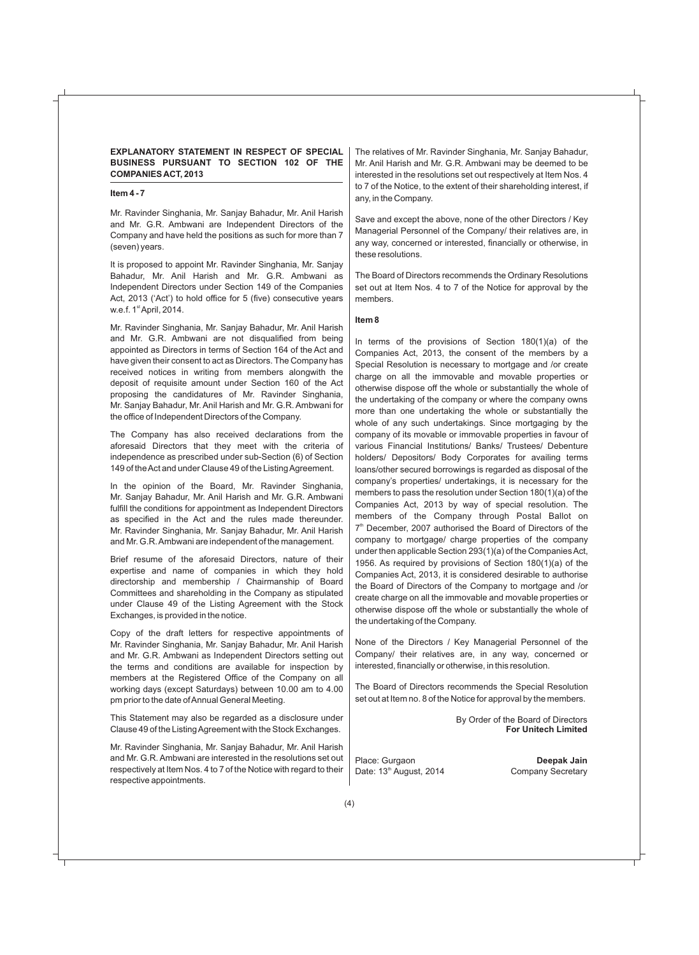### **EXPLANATORY STATEMENT IN RESPECT OF SPECIAL BUSINESS PURSUANT TO SECTION 102 OF THE COMPANIES ACT, 2013**

### **Item 4 - 7**

Mr. Ravinder Singhania, Mr. Sanjay Bahadur, Mr. Anil Harish and Mr. G.R. Ambwani are Independent Directors of the Company and have held the positions as such for more than 7 (seven) years.

It is proposed to appoint Mr. Ravinder Singhania, Mr. Sanjay Bahadur, Mr. Anil Harish and Mr. G.R. Ambwani as Independent Directors under Section 149 of the Companies Act, 2013 ('Act') to hold office for 5 (five) consecutive years w.e.f.  $1<sup>st</sup>$  April, 2014.

Mr. Ravinder Singhania, Mr. Sanjay Bahadur, Mr. Anil Harish and Mr. G.R. Ambwani are not disqualified from being appointed as Directors in terms of Section 164 of the Act and have given their consent to act as Directors. The Company has received notices in writing from members alongwith the deposit of requisite amount under Section 160 of the Act proposing the candidatures of Mr. Ravinder Singhania, Mr. Sanjay Bahadur, Mr. Anil Harish and Mr. G.R. Ambwani for the office of Independent Directors of the Company.

The Company has also received declarations from the aforesaid Directors that they meet with the criteria of independence as prescribed under sub-Section (6) of Section 149 of the Act and under Clause 49 of the Listing Agreement.

In the opinion of the Board, Mr. Ravinder Singhania, Mr. Sanjay Bahadur, Mr. Anil Harish and Mr. G.R. Ambwani fulfill the conditions for appointment as Independent Directors as specified in the Act and the rules made thereunder. Mr. Ravinder Singhania, Mr. Sanjay Bahadur, Mr. Anil Harish and Mr. G.R. Ambwani are independent of the management.

Brief resume of the aforesaid Directors, nature of their expertise and name of companies in which they hold directorship and membership / Chairmanship of Board Committees and shareholding in the Company as stipulated under Clause 49 of the Listing Agreement with the Stock Exchanges, is provided in the notice.

Copy of the draft letters for respective appointments of Mr. Ravinder Singhania, Mr. Sanjay Bahadur, Mr. Anil Harish and Mr. G.R. Ambwani as Independent Directors setting out the terms and conditions are available for inspection by members at the Registered Office of the Company on all working days (except Saturdays) between 10.00 am to 4.00 pm prior to the date of Annual General Meeting.

This Statement may also be regarded as a disclosure under Clause 49 of the Listing Agreement with the Stock Exchanges.

Mr. Ravinder Singhania, Mr. Sanjay Bahadur, Mr. Anil Harish and Mr. G.R. Ambwani are interested in the resolutions set out respectively at Item Nos. 4 to 7 of the Notice with regard to their respective appointments.

The relatives of Mr. Ravinder Singhania, Mr. Sanjay Bahadur, Mr. Anil Harish and Mr. G.R. Ambwani may be deemed to be interested in the resolutions set out respectively at Item Nos. 4 to 7 of the Notice, to the extent of their shareholding interest, if any, in the Company.

Save and except the above, none of the other Directors / Key Managerial Personnel of the Company/ their relatives are, in any way, concerned or interested, financially or otherwise, in these resolutions.

The Board of Directors recommends the Ordinary Resolutions set out at Item Nos. 4 to 7 of the Notice for approval by the members.

### **Item 8**

In terms of the provisions of Section 180(1)(a) of the Companies Act, 2013, the consent of the members by a Special Resolution is necessary to mortgage and /or create charge on all the immovable and movable properties or otherwise dispose off the whole or substantially the whole of the undertaking of the company or where the company owns more than one undertaking the whole or substantially the whole of any such undertakings. Since mortgaging by the company of its movable or immovable properties in favour of various Financial Institutions/ Banks/ Trustees/ Debenture holders/ Depositors/ Body Corporates for availing terms loans/other secured borrowings is regarded as disposal of the company's properties/ undertakings, it is necessary for the members to pass the resolution under Section 180(1)(a) of the Companies Act, 2013 by way of special resolution. The members of the Company through Postal Ballot on  $7<sup>th</sup>$  December, 2007 authorised the Board of Directors of the company to mortgage/ charge properties of the company under then applicable Section 293(1)(a) of the Companies Act, 1956. As required by provisions of Section 180(1)(a) of the Companies Act, 2013, it is considered desirable to authorise the Board of Directors of the Company to mortgage and /or create charge on all the immovable and movable properties or otherwise dispose off the whole or substantially the whole of the undertaking of the Company.

None of the Directors / Key Managerial Personnel of the Company/ their relatives are, in any way, concerned or interested, financially or otherwise, in this resolution.

The Board of Directors recommends the Special Resolution set out at Item no. 8 of the Notice for approval by the members.

> By Order of the Board of Directors **For Unitech Limited**

Place: Gurgaon **Deepak Jain** Date: 13<sup>th</sup> August, 2014 Company Secretary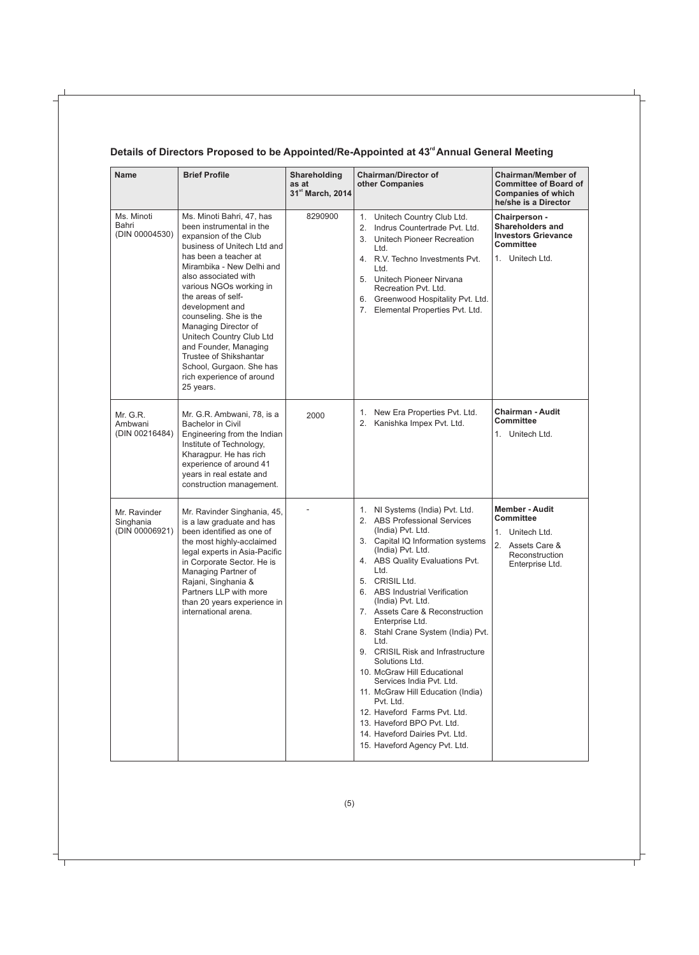### Details of Directors Proposed to be Appointed/Re-Appointed at 43<sup>rd</sup> Annual General Meeting

| <b>Name</b>                                 | <b>Brief Profile</b>                                                                                                                                                                                                                                                                                                                                                                                                                                                   | Shareholding<br>as at<br>31st March, 2014 | <b>Chairman/Director of</b><br>other Companies                                                                                                                                                                                                                                                                                                                                                                                                                                                                                                                                                                                                                              | <b>Chairman/Member of</b><br><b>Committee of Board of</b><br><b>Companies of which</b><br>he/she is a Director        |
|---------------------------------------------|------------------------------------------------------------------------------------------------------------------------------------------------------------------------------------------------------------------------------------------------------------------------------------------------------------------------------------------------------------------------------------------------------------------------------------------------------------------------|-------------------------------------------|-----------------------------------------------------------------------------------------------------------------------------------------------------------------------------------------------------------------------------------------------------------------------------------------------------------------------------------------------------------------------------------------------------------------------------------------------------------------------------------------------------------------------------------------------------------------------------------------------------------------------------------------------------------------------------|-----------------------------------------------------------------------------------------------------------------------|
| Ms. Minoti<br>Bahri<br>(DIN 00004530)       | Ms. Minoti Bahri, 47, has<br>been instrumental in the<br>expansion of the Club<br>business of Unitech Ltd and<br>has been a teacher at<br>Mirambika - New Delhi and<br>also associated with<br>various NGOs working in<br>the areas of self-<br>development and<br>counseling. She is the<br>Managing Director of<br>Unitech Country Club Ltd<br>and Founder, Managing<br>Trustee of Shikshantar<br>School, Gurgaon. She has<br>rich experience of around<br>25 years. | 8290900                                   | 1. Unitech Country Club Ltd.<br>Indrus Countertrade Pvt. Ltd.<br>2.<br>3. Unitech Pioneer Recreation<br>Ltd.<br>4. R.V. Techno Investments Pvt.<br>Ltd.<br>5. Unitech Pioneer Nirvana<br>Recreation Pvt. Ltd.<br>6. Greenwood Hospitality Pvt. Ltd.<br>7. Elemental Properties Pvt. Ltd.                                                                                                                                                                                                                                                                                                                                                                                    | Chairperson -<br><b>Shareholders and</b><br><b>Investors Grievance</b><br>Committee<br>1. Unitech Ltd.                |
| Mr. G.R.<br>Ambwani<br>(DIN 00216484)       | Mr. G.R. Ambwani, 78, is a<br><b>Bachelor in Civil</b><br>Engineering from the Indian<br>Institute of Technology,<br>Kharagpur. He has rich<br>experience of around 41<br>years in real estate and<br>construction management.                                                                                                                                                                                                                                         | 2000                                      | 1. New Era Properties Pvt. Ltd.<br>2. Kanishka Impex Pvt. Ltd.                                                                                                                                                                                                                                                                                                                                                                                                                                                                                                                                                                                                              | <b>Chairman - Audit</b><br><b>Committee</b><br>1. Unitech Ltd.                                                        |
| Mr. Ravinder<br>Singhania<br>(DIN 00006921) | Mr. Ravinder Singhania, 45,<br>is a law graduate and has<br>been identified as one of<br>the most highly-acclaimed<br>legal experts in Asia-Pacific<br>in Corporate Sector. He is<br>Managing Partner of<br>Rajani, Singhania &<br>Partners LLP with more<br>than 20 years experience in<br>international arena.                                                                                                                                                       |                                           | 1. NI Systems (India) Pvt. Ltd.<br>2. ABS Professional Services<br>(India) Pvt. Ltd.<br>3. Capital IQ Information systems<br>(India) Pvt. Ltd.<br>4. ABS Quality Evaluations Pvt.<br>Ltd.<br>5. CRISIL Ltd.<br>6. ABS Industrial Verification<br>(India) Pvt. Ltd.<br>7. Assets Care & Reconstruction<br>Enterprise Ltd.<br>8. Stahl Crane System (India) Pvt.<br>Ltd.<br>9. CRISIL Risk and Infrastructure<br>Solutions Ltd.<br>10. McGraw Hill Educational<br>Services India Pvt. Ltd.<br>11. McGraw Hill Education (India)<br>Pvt. Ltd.<br>12. Haveford Farms Pvt. Ltd.<br>13. Haveford BPO Pvt. Ltd.<br>14. Haveford Dairies Pvt. Ltd.<br>15. Haveford Agency Pvt. Ltd. | <b>Member - Audit</b><br><b>Committee</b><br>1. Unitech Ltd.<br>2. Assets Care &<br>Reconstruction<br>Enterprise Ltd. |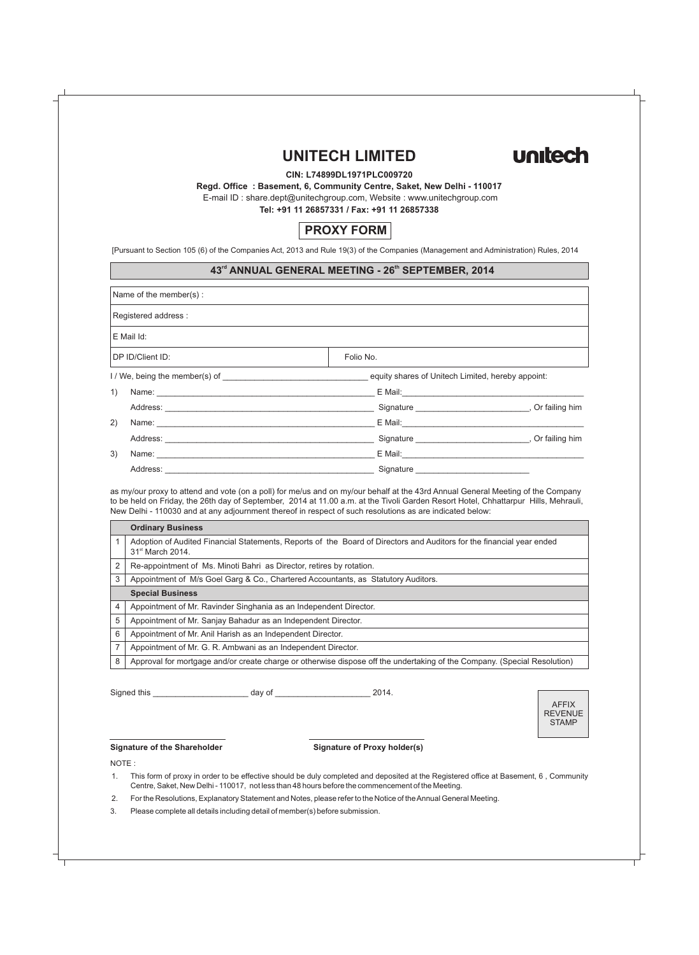# **UNITECH LIMITED**



### **CIN: L74899DL1971PLC009720**

**Regd. Office : Basement, 6, Community Centre, Saket, New Delhi - 110017**

E-mail ID : share.dept@unitechgroup.com, Website : www.unitechgroup.com

**Tel: +91 11 26857331 / Fax: +91 11 26857338**

### **PROXY FORM**

[Pursuant to Section 105 (6) of the Companies Act, 2013 and Rule 19(3) of the Companies (Management and Administration) Rules, 2014

### $43<sup>rd</sup>$  ANNUAL GENERAL MEETING - 26<sup>th</sup> SEPTEMBER, 2014

| Name of the member(s):                                                                                                                                                                                                              |                                                   |                                                               |
|-------------------------------------------------------------------------------------------------------------------------------------------------------------------------------------------------------------------------------------|---------------------------------------------------|---------------------------------------------------------------|
| Registered address :                                                                                                                                                                                                                |                                                   |                                                               |
| $E$ Mail Id:                                                                                                                                                                                                                        |                                                   |                                                               |
| DP ID/Client ID:                                                                                                                                                                                                                    | Folio No.                                         |                                                               |
|                                                                                                                                                                                                                                     | equity shares of Unitech Limited, hereby appoint: |                                                               |
| 1)                                                                                                                                                                                                                                  |                                                   |                                                               |
|                                                                                                                                                                                                                                     |                                                   | Signature ___________________________________, Or failing him |
| 2)<br>Name: Name: Name: Name: Name: Name: Name: Name: Name: Name: Name: Name: Name: Name: Name: Name: Name: Name: Name: Name: Name: Name: Name: Name: Name: Name: Name: Name: Name: Name: Name: Name: Name: Name: Name: Name: Name: |                                                   |                                                               |
|                                                                                                                                                                                                                                     |                                                   | Signature , Or failing him                                    |
| 3)                                                                                                                                                                                                                                  | E Mail: <u>Communication of the Communication</u> |                                                               |
| Address:                                                                                                                                                                                                                            | Signature                                         |                                                               |

as my/our proxy to attend and vote (on a poll) for me/us and on my/our behalf at the 43rd Annual General Meeting of the Company to be held on Friday, the 26th day of September, 2014 at 11.00 a.m. at the Tivoli Garden Resort Hotel, Chhattarpur Hills, Mehrauli, New Delhi - 110030 and at any adjournment thereof in respect of such resolutions as are indicated below:

|   | <b>Ordinary Business</b>                                                                                                                              |
|---|-------------------------------------------------------------------------------------------------------------------------------------------------------|
|   | Adoption of Audited Financial Statements, Reports of the Board of Directors and Auditors for the financial year ended<br>31 <sup>st</sup> March 2014. |
| 2 | Re-appointment of Ms. Minoti Bahri as Director, retires by rotation.                                                                                  |
| 3 | Appointment of M/s Goel Garg & Co., Chartered Accountants, as Statutory Auditors.                                                                     |
|   | <b>Special Business</b>                                                                                                                               |
| 4 | Appointment of Mr. Ravinder Singhania as an Independent Director.                                                                                     |
| 5 | Appointment of Mr. Sanjay Bahadur as an Independent Director.                                                                                         |
| 6 | Appointment of Mr. Anil Harish as an Independent Director.                                                                                            |
| 7 | Appointment of Mr. G. R. Ambwani as an Independent Director.                                                                                          |
| 8 | Approval for mortgage and/or create charge or otherwise dispose off the undertaking of the Company. (Special Resolution)                              |

Signed this \_\_\_\_\_\_\_\_\_\_\_\_\_\_\_\_\_\_\_\_\_ day of \_\_\_\_\_\_\_\_\_\_\_\_\_\_\_\_\_\_\_\_\_ 2014.



#### **Signature of the Shareholder Signature of Proxy holder(s)**

NOTE :

1. This form of proxy in order to be effective should be duly completed and deposited at the Registered office at Basement, 6 , Community Centre, Saket, New Delhi - 110017, not less than 48 hours before the commencement of the Meeting.

2. For the Resolutions, Explanatory Statement and Notes, please refer to the Notice of the Annual General Meeting.

3. Please complete all details including detail of member(s) before submission.